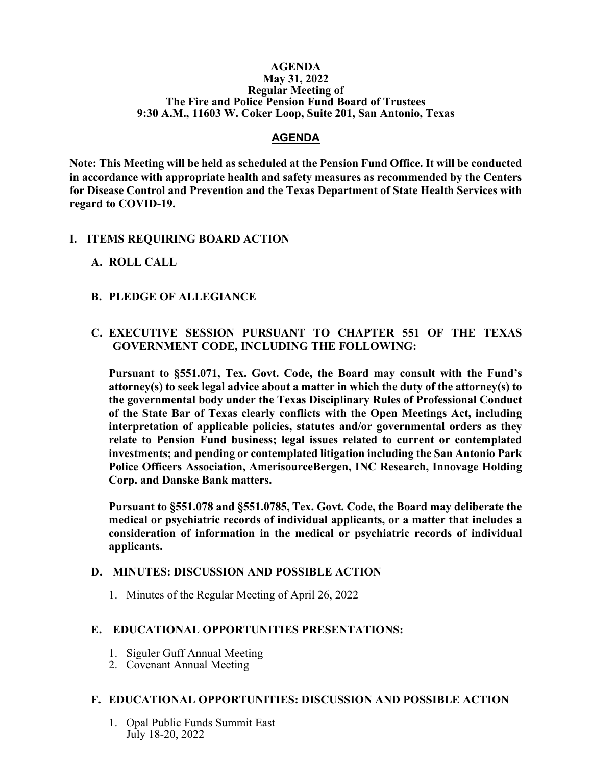#### **AGENDA May 31, 2022 Regular Meeting of The Fire and Police Pension Fund Board of Trustees 9:30 A.M., 11603 W. Coker Loop, Suite 201, San Antonio, Texas**

#### **AGENDA**

**Note: This Meeting will be held as scheduled at the Pension Fund Office. It will be conducted in accordance with appropriate health and safety measures as recommended by the Centers for Disease Control and Prevention and the Texas Department of State Health Services with regard to COVID-19.**

#### **I. ITEMS REQUIRING BOARD ACTION**

#### **A. ROLL CALL**

#### **B. PLEDGE OF ALLEGIANCE**

# **C. EXECUTIVE SESSION PURSUANT TO CHAPTER 551 OF THE TEXAS GOVERNMENT CODE, INCLUDING THE FOLLOWING:**

**Pursuant to §551.071, Tex. Govt. Code, the Board may consult with the Fund's attorney(s) to seek legal advice about a matter in which the duty of the attorney(s) to the governmental body under the Texas Disciplinary Rules of Professional Conduct of the State Bar of Texas clearly conflicts with the Open Meetings Act, including interpretation of applicable policies, statutes and/or governmental orders as they relate to Pension Fund business; legal issues related to current or contemplated investments; and pending or contemplated litigation including the San Antonio Park Police Officers Association, AmerisourceBergen, INC Research, Innovage Holding Corp. and Danske Bank matters.** 

**Pursuant to §551.078 and §551.0785, Tex. Govt. Code, the Board may deliberate the medical or psychiatric records of individual applicants, or a matter that includes a consideration of information in the medical or psychiatric records of individual applicants.**

#### **D. MINUTES: DISCUSSION AND POSSIBLE ACTION**

1. Minutes of the Regular Meeting of April 26, 2022

## **E. EDUCATIONAL OPPORTUNITIES PRESENTATIONS:**

- 1. Siguler Guff Annual Meeting
- 2. Covenant Annual Meeting

## **F. EDUCATIONAL OPPORTUNITIES: DISCUSSION AND POSSIBLE ACTION**

1. Opal Public Funds Summit East July 18-20, 2022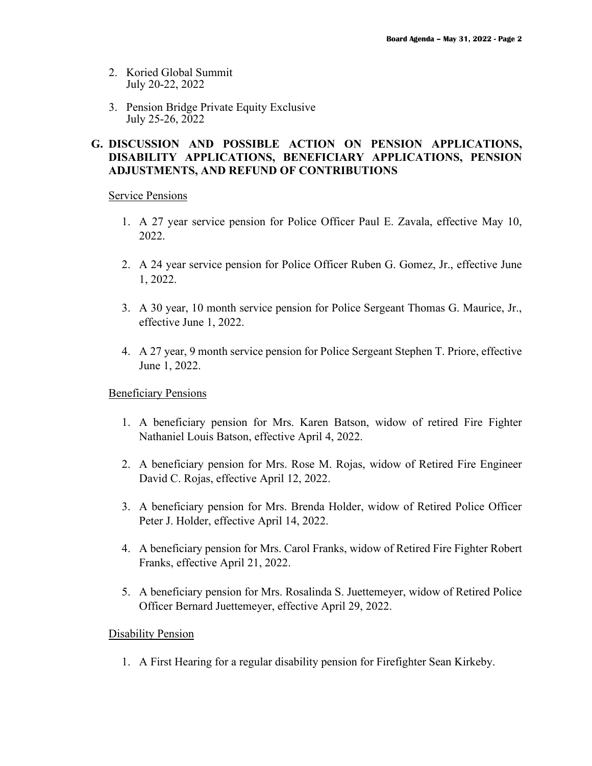- 2. Koried Global Summit July 20-22, 2022
- 3. Pension Bridge Private Equity Exclusive July 25-26, 2022

# **G. DISCUSSION AND POSSIBLE ACTION ON PENSION APPLICATIONS, DISABILITY APPLICATIONS, BENEFICIARY APPLICATIONS, PENSION ADJUSTMENTS, AND REFUND OF CONTRIBUTIONS**

Service Pensions

- 1. A 27 year service pension for Police Officer Paul E. Zavala, effective May 10, 2022.
- 2. A 24 year service pension for Police Officer Ruben G. Gomez, Jr., effective June 1, 2022.
- 3. A 30 year, 10 month service pension for Police Sergeant Thomas G. Maurice, Jr., effective June 1, 2022.
- 4. A 27 year, 9 month service pension for Police Sergeant Stephen T. Priore, effective June 1, 2022.

Beneficiary Pensions

- 1. A beneficiary pension for Mrs. Karen Batson, widow of retired Fire Fighter Nathaniel Louis Batson, effective April 4, 2022.
- 2. A beneficiary pension for Mrs. Rose M. Rojas, widow of Retired Fire Engineer David C. Rojas, effective April 12, 2022.
- 3. A beneficiary pension for Mrs. Brenda Holder, widow of Retired Police Officer Peter J. Holder, effective April 14, 2022.
- 4. A beneficiary pension for Mrs. Carol Franks, widow of Retired Fire Fighter Robert Franks, effective April 21, 2022.
- 5. A beneficiary pension for Mrs. Rosalinda S. Juettemeyer, widow of Retired Police Officer Bernard Juettemeyer, effective April 29, 2022.

## Disability Pension

1. A First Hearing for a regular disability pension for Firefighter Sean Kirkeby.